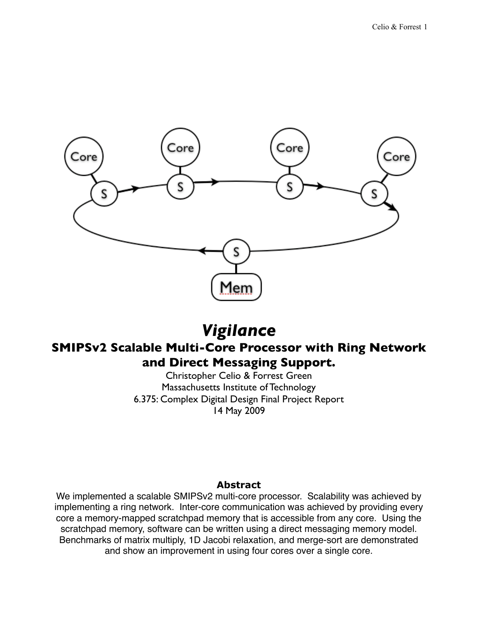

# *Vigilance*

# **SMIPSv2 Scalable Multi-Core Processor with Ring Network and Direct Messaging Support.**

Christopher Celio & Forrest Green Massachusetts Institute of Technology 6.375: Complex Digital Design Final Project Report 14 May 2009

#### **Abstract**

We implemented a scalable SMIPSv2 multi-core processor. Scalability was achieved by implementing a ring network. Inter-core communication was achieved by providing every core a memory-mapped scratchpad memory that is accessible from any core. Using the scratchpad memory, software can be written using a direct messaging memory model. Benchmarks of matrix multiply, 1D Jacobi relaxation, and merge-sort are demonstrated and show an improvement in using four cores over a single core.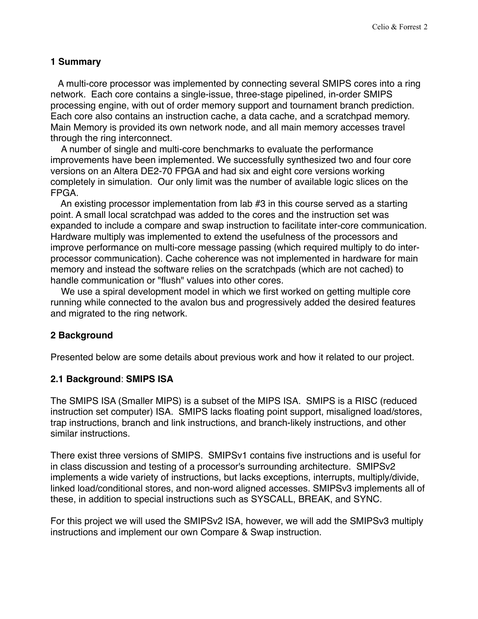#### **1 Summary**

 A multi-core processor was implemented by connecting several SMIPS cores into a ring network. Each core contains a single-issue, three-stage pipelined, in-order SMIPS processing engine, with out of order memory support and tournament branch prediction. Each core also contains an instruction cache, a data cache, and a scratchpad memory. Main Memory is provided its own network node, and all main memory accesses travel through the ring interconnect.

 A number of single and multi-core benchmarks to evaluate the performance improvements have been implemented. We successfully synthesized two and four core versions on an Altera DE2-70 FPGA and had six and eight core versions working completely in simulation. Our only limit was the number of available logic slices on the FPGA.

 An existing processor implementation from lab #3 in this course served as a starting point. A small local scratchpad was added to the cores and the instruction set was expanded to include a compare and swap instruction to facilitate inter-core communication. Hardware multiply was implemented to extend the usefulness of the processors and improve performance on multi-core message passing (which required multiply to do interprocessor communication). Cache coherence was not implemented in hardware for main memory and instead the software relies on the scratchpads (which are not cached) to handle communication or "flush" values into other cores.

 We use a spiral development model in which we first worked on getting multiple core running while connected to the avalon bus and progressively added the desired features and migrated to the ring network.

#### **2 Background**

Presented below are some details about previous work and how it related to our project.

#### **2.1 Background**: **SMIPS ISA**

The SMIPS ISA (Smaller MIPS) is a subset of the MIPS ISA. SMIPS is a RISC (reduced instruction set computer) ISA. SMIPS lacks floating point support, misaligned load/stores, trap instructions, branch and link instructions, and branch-likely instructions, and other similar instructions.

There exist three versions of SMIPS. SMIPSv1 contains five instructions and is useful for in class discussion and testing of a processor's surrounding architecture. SMIPSv2 implements a wide variety of instructions, but lacks exceptions, interrupts, multiply/divide, linked load/conditional stores, and non-word aligned accesses. SMIPSv3 implements all of these, in addition to special instructions such as SYSCALL, BREAK, and SYNC.

For this project we will used the SMIPSv2 ISA, however, we will add the SMIPSv3 multiply instructions and implement our own Compare & Swap instruction.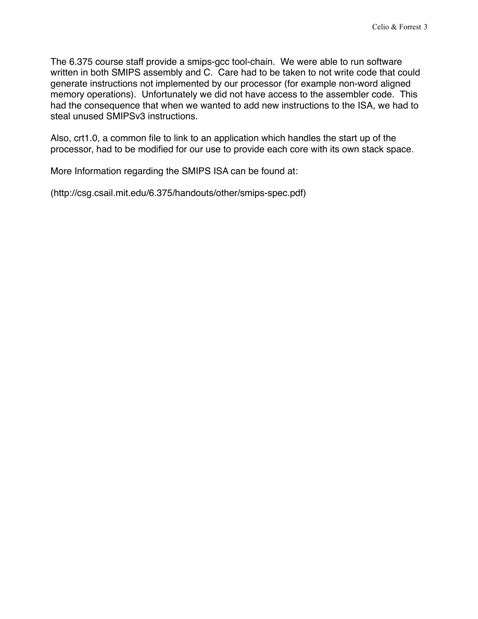The 6.375 course staff provide a smips-gcc tool-chain. We were able to run software written in both SMIPS assembly and C. Care had to be taken to not write code that could generate instructions not implemented by our processor (for example non-word aligned memory operations). Unfortunately we did not have access to the assembler code. This had the consequence that when we wanted to add new instructions to the ISA, we had to steal unused SMIPSv3 instructions.

Also, crt1.0, a common file to link to an application which handles the start up of the processor, had to be modified for our use to provide each core with its own stack space.

More Information regarding the SMIPS ISA can be found at:

(http://csg.csail.mit.edu/6.375/handouts/other/smips-spec.pdf)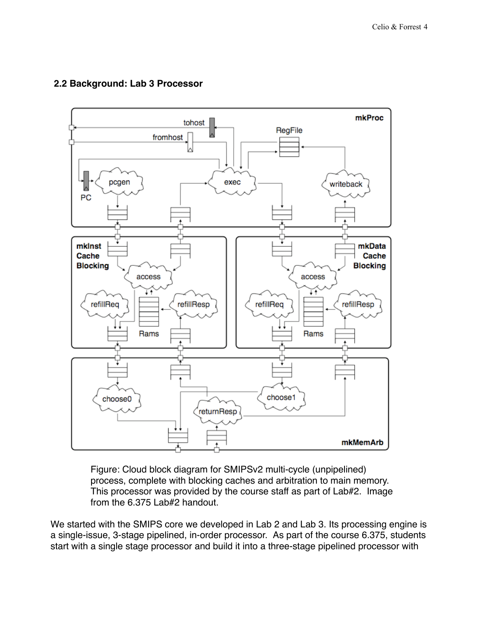

#### **2.2 Background: Lab 3 Processor**

Figure: Cloud block diagram for SMIPSv2 multi-cycle (unpipelined) process, complete with blocking caches and arbitration to main memory. This processor was provided by the course staff as part of Lab#2. Image from the 6.375 Lab#2 handout.

We started with the SMIPS core we developed in Lab 2 and Lab 3. Its processing engine is a single-issue, 3-stage pipelined, in-order processor. As part of the course 6.375, students start with a single stage processor and build it into a three-stage pipelined processor with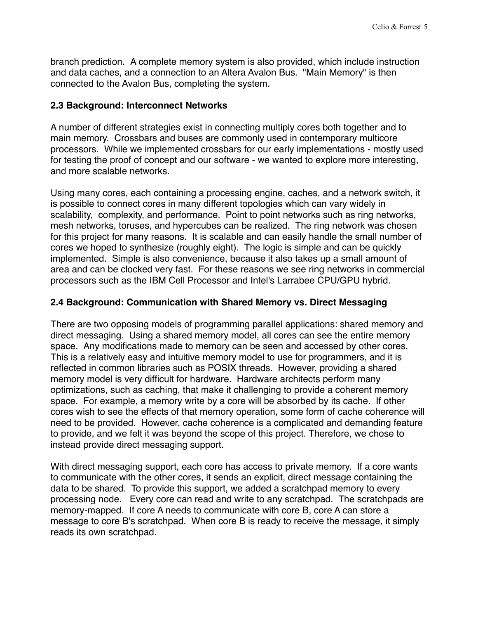branch prediction. A complete memory system is also provided, which include instruction and data caches, and a connection to an Altera Avalon Bus. "Main Memory" is then connected to the Avalon Bus, completing the system.

#### **2.3 Background: Interconnect Networks**

A number of different strategies exist in connecting multiply cores both together and to main memory. Crossbars and buses are commonly used in contemporary multicore processors. While we implemented crossbars for our early implementations - mostly used for testing the proof of concept and our software - we wanted to explore more interesting, and more scalable networks.

Using many cores, each containing a processing engine, caches, and a network switch, it is possible to connect cores in many different topologies which can vary widely in scalability, complexity, and performance. Point to point networks such as ring networks, mesh networks, toruses, and hypercubes can be realized. The ring network was chosen for this project for many reasons. It is scalable and can easily handle the small number of cores we hoped to synthesize (roughly eight). The logic is simple and can be quickly implemented. Simple is also convenience, because it also takes up a small amount of area and can be clocked very fast. For these reasons we see ring networks in commercial processors such as the IBM Cell Processor and Intel's Larrabee CPU/GPU hybrid.

# **2.4 Background: Communication with Shared Memory vs. Direct Messaging**

There are two opposing models of programming parallel applications: shared memory and direct messaging. Using a shared memory model, all cores can see the entire memory space. Any modifications made to memory can be seen and accessed by other cores. This is a relatively easy and intuitive memory model to use for programmers, and it is reflected in common libraries such as POSIX threads. However, providing a shared memory model is very difficult for hardware. Hardware architects perform many optimizations, such as caching, that make it challenging to provide a coherent memory space. For example, a memory write by a core will be absorbed by its cache. If other cores wish to see the effects of that memory operation, some form of cache coherence will need to be provided. However, cache coherence is a complicated and demanding feature to provide, and we felt it was beyond the scope of this project. Therefore, we chose to instead provide direct messaging support.

With direct messaging support, each core has access to private memory. If a core wants to communicate with the other cores, it sends an explicit, direct message containing the data to be shared. To provide this support, we added a scratchpad memory to every processing node. Every core can read and write to any scratchpad. The scratchpads are memory-mapped. If core A needs to communicate with core B, core A can store a message to core B's scratchpad. When core B is ready to receive the message, it simply reads its own scratchpad.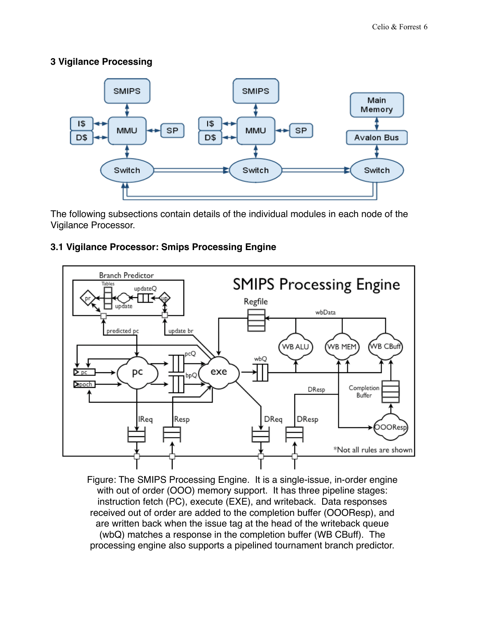#### **3 Vigilance Processing**



The following subsections contain details of the individual modules in each node of the Vigilance Processor.

# **3.1 Vigilance Processor: Smips Processing Engine**



Figure: The SMIPS Processing Engine. It is a single-issue, in-order engine with out of order (OOO) memory support. It has three pipeline stages: instruction fetch (PC), execute (EXE), and writeback. Data responses received out of order are added to the completion buffer (OOOResp), and are written back when the issue tag at the head of the writeback queue (wbQ) matches a response in the completion buffer (WB CBuff). The processing engine also supports a pipelined tournament branch predictor.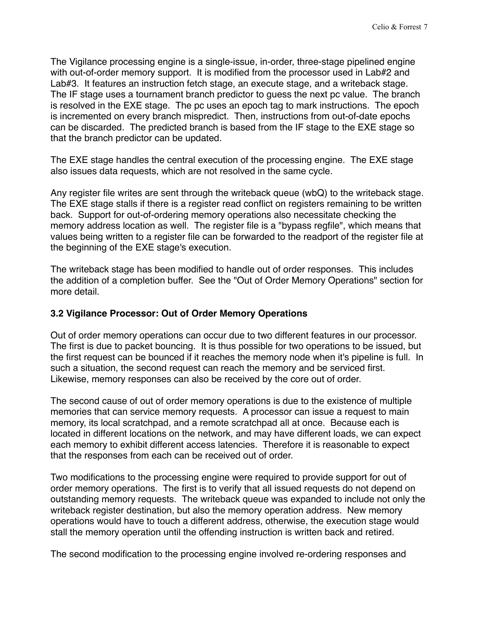The Vigilance processing engine is a single-issue, in-order, three-stage pipelined engine with out-of-order memory support. It is modified from the processor used in Lab#2 and Lab#3. It features an instruction fetch stage, an execute stage, and a writeback stage. The IF stage uses a tournament branch predictor to guess the next pc value. The branch is resolved in the EXE stage. The pc uses an epoch tag to mark instructions. The epoch is incremented on every branch mispredict. Then, instructions from out-of-date epochs can be discarded. The predicted branch is based from the IF stage to the EXE stage so that the branch predictor can be updated.

The EXE stage handles the central execution of the processing engine. The EXE stage also issues data requests, which are not resolved in the same cycle.

Any register file writes are sent through the writeback queue (wbQ) to the writeback stage. The EXE stage stalls if there is a register read conflict on registers remaining to be written back. Support for out-of-ordering memory operations also necessitate checking the memory address location as well. The register file is a "bypass regfile", which means that values being written to a register file can be forwarded to the readport of the register file at the beginning of the EXE stage's execution.

The writeback stage has been modified to handle out of order responses. This includes the addition of a completion buffer. See the "Out of Order Memory Operations" section for more detail.

#### **3.2 Vigilance Processor: Out of Order Memory Operations**

Out of order memory operations can occur due to two different features in our processor. The first is due to packet bouncing. It is thus possible for two operations to be issued, but the first request can be bounced if it reaches the memory node when it's pipeline is full. In such a situation, the second request can reach the memory and be serviced first. Likewise, memory responses can also be received by the core out of order.

The second cause of out of order memory operations is due to the existence of multiple memories that can service memory requests. A processor can issue a request to main memory, its local scratchpad, and a remote scratchpad all at once. Because each is located in different locations on the network, and may have different loads, we can expect each memory to exhibit different access latencies. Therefore it is reasonable to expect that the responses from each can be received out of order.

Two modifications to the processing engine were required to provide support for out of order memory operations. The first is to verify that all issued requests do not depend on outstanding memory requests. The writeback queue was expanded to include not only the writeback register destination, but also the memory operation address. New memory operations would have to touch a different address, otherwise, the execution stage would stall the memory operation until the offending instruction is written back and retired.

The second modification to the processing engine involved re-ordering responses and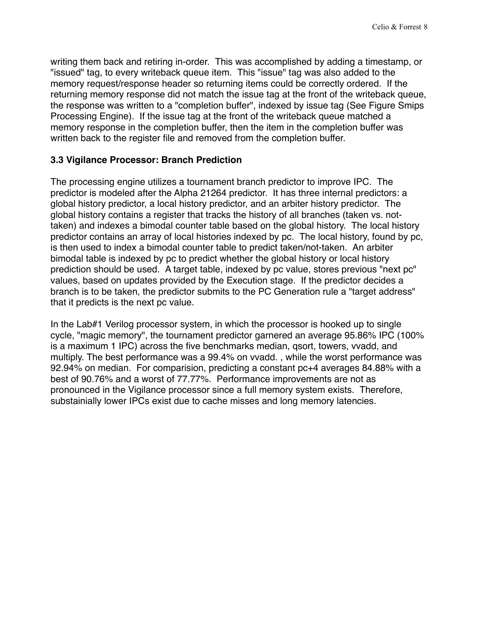writing them back and retiring in-order. This was accomplished by adding a timestamp, or "issued" tag, to every writeback queue item. This "issue" tag was also added to the memory request/response header so returning items could be correctly ordered. If the returning memory response did not match the issue tag at the front of the writeback queue, the response was written to a "completion buffer", indexed by issue tag (See Figure Smips Processing Engine). If the issue tag at the front of the writeback queue matched a memory response in the completion buffer, then the item in the completion buffer was written back to the register file and removed from the completion buffer.

# **3.3 Vigilance Processor: Branch Prediction**

The processing engine utilizes a tournament branch predictor to improve IPC. The predictor is modeled after the Alpha 21264 predictor. It has three internal predictors: a global history predictor, a local history predictor, and an arbiter history predictor. The global history contains a register that tracks the history of all branches (taken vs. nottaken) and indexes a bimodal counter table based on the global history. The local history predictor contains an array of local histories indexed by pc. The local history, found by pc, is then used to index a bimodal counter table to predict taken/not-taken. An arbiter bimodal table is indexed by pc to predict whether the global history or local history prediction should be used. A target table, indexed by pc value, stores previous "next pc" values, based on updates provided by the Execution stage. If the predictor decides a branch is to be taken, the predictor submits to the PC Generation rule a "target address" that it predicts is the next pc value.

In the Lab#1 Verilog processor system, in which the processor is hooked up to single cycle, "magic memory", the tournament predictor garnered an average 95.86% IPC (100% is a maximum 1 IPC) across the five benchmarks median, qsort, towers, vvadd, and multiply. The best performance was a 99.4% on vvadd. , while the worst performance was 92.94% on median. For comparision, predicting a constant pc+4 averages 84.88% with a best of 90.76% and a worst of 77.77%. Performance improvements are not as pronounced in the Vigilance processor since a full memory system exists. Therefore, substainially lower IPCs exist due to cache misses and long memory latencies.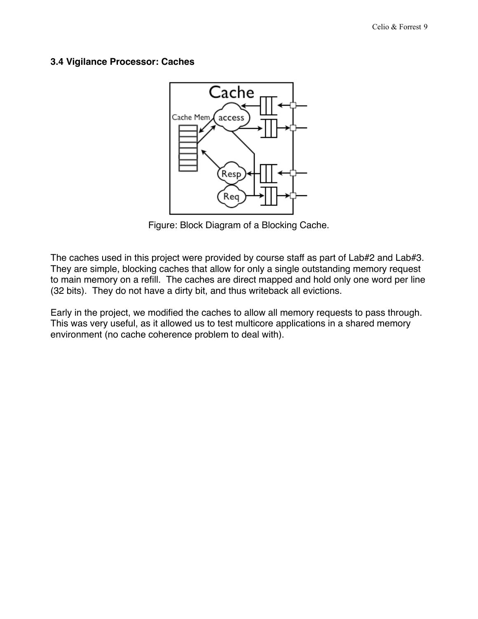#### **3.4 Vigilance Processor: Caches**



Figure: Block Diagram of a Blocking Cache.

The caches used in this project were provided by course staff as part of Lab#2 and Lab#3. They are simple, blocking caches that allow for only a single outstanding memory request to main memory on a refill. The caches are direct mapped and hold only one word per line (32 bits). They do not have a dirty bit, and thus writeback all evictions.

Early in the project, we modified the caches to allow all memory requests to pass through. This was very useful, as it allowed us to test multicore applications in a shared memory environment (no cache coherence problem to deal with).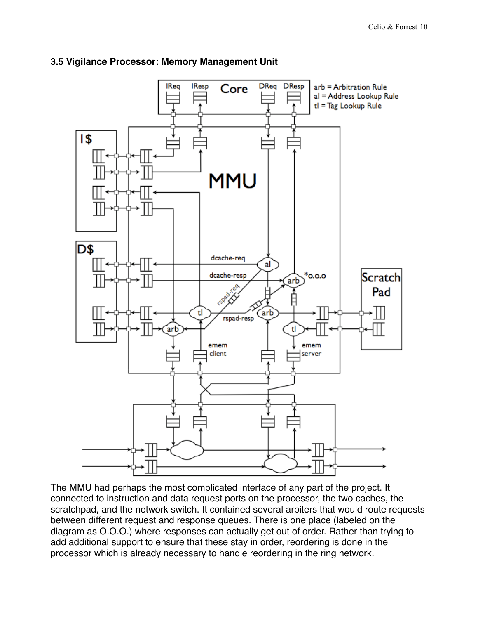

#### **3.5 Vigilance Processor: Memory Management Unit**

The MMU had perhaps the most complicated interface of any part of the project. It connected to instruction and data request ports on the processor, the two caches, the scratchpad, and the network switch. It contained several arbiters that would route requests between different request and response queues. There is one place (labeled on the diagram as O.O.O.) where responses can actually get out of order. Rather than trying to add additional support to ensure that these stay in order, reordering is done in the processor which is already necessary to handle reordering in the ring network.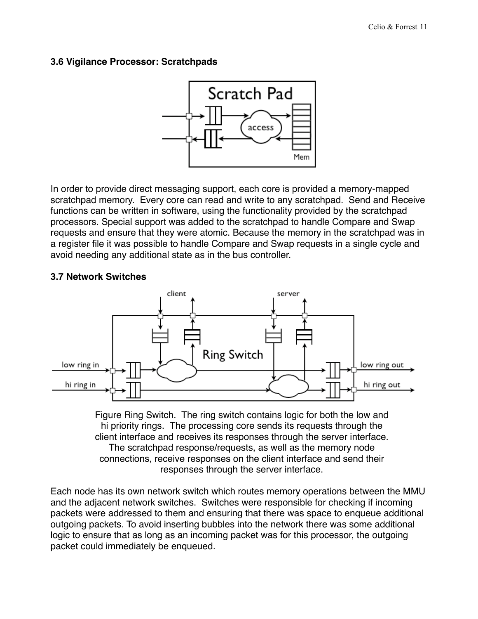#### **3.6 Vigilance Processor: Scratchpads**



In order to provide direct messaging support, each core is provided a memory-mapped scratchpad memory. Every core can read and write to any scratchpad. Send and Receive functions can be written in software, using the functionality provided by the scratchpad processors. Special support was added to the scratchpad to handle Compare and Swap requests and ensure that they were atomic. Because the memory in the scratchpad was in a register file it was possible to handle Compare and Swap requests in a single cycle and avoid needing any additional state as in the bus controller.

# **3.7 Network Switches**



Figure Ring Switch. The ring switch contains logic for both the low and hi priority rings. The processing core sends its requests through the client interface and receives its responses through the server interface. The scratchpad response/requests, as well as the memory node connections, receive responses on the client interface and send their responses through the server interface.

Each node has its own network switch which routes memory operations between the MMU and the adjacent network switches. Switches were responsible for checking if incoming packets were addressed to them and ensuring that there was space to enqueue additional outgoing packets. To avoid inserting bubbles into the network there was some additional logic to ensure that as long as an incoming packet was for this processor, the outgoing packet could immediately be enqueued.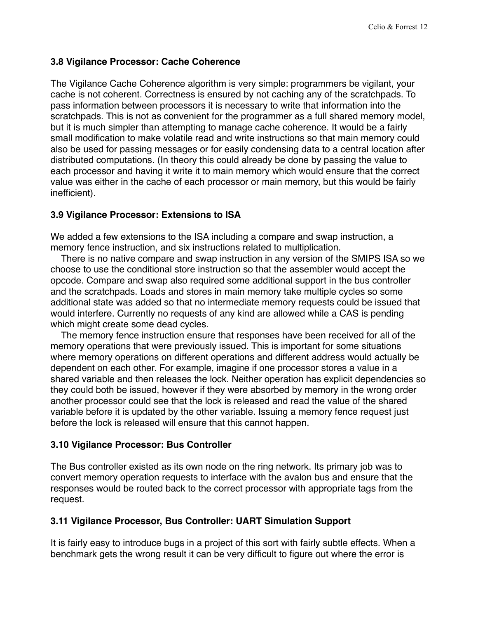#### **3.8 Vigilance Processor: Cache Coherence**

The Vigilance Cache Coherence algorithm is very simple: programmers be vigilant, your cache is not coherent. Correctness is ensured by not caching any of the scratchpads. To pass information between processors it is necessary to write that information into the scratchpads. This is not as convenient for the programmer as a full shared memory model, but it is much simpler than attempting to manage cache coherence. It would be a fairly small modification to make volatile read and write instructions so that main memory could also be used for passing messages or for easily condensing data to a central location after distributed computations. (In theory this could already be done by passing the value to each processor and having it write it to main memory which would ensure that the correct value was either in the cache of each processor or main memory, but this would be fairly inefficient).

#### **3.9 Vigilance Processor: Extensions to ISA**

We added a few extensions to the ISA including a compare and swap instruction, a memory fence instruction, and six instructions related to multiplication.

 There is no native compare and swap instruction in any version of the SMIPS ISA so we choose to use the conditional store instruction so that the assembler would accept the opcode. Compare and swap also required some additional support in the bus controller and the scratchpads. Loads and stores in main memory take multiple cycles so some additional state was added so that no intermediate memory requests could be issued that would interfere. Currently no requests of any kind are allowed while a CAS is pending which might create some dead cycles.

 The memory fence instruction ensure that responses have been received for all of the memory operations that were previously issued. This is important for some situations where memory operations on different operations and different address would actually be dependent on each other. For example, imagine if one processor stores a value in a shared variable and then releases the lock. Neither operation has explicit dependencies so they could both be issued, however if they were absorbed by memory in the wrong order another processor could see that the lock is released and read the value of the shared variable before it is updated by the other variable. Issuing a memory fence request just before the lock is released will ensure that this cannot happen.

#### **3.10 Vigilance Processor: Bus Controller**

The Bus controller existed as its own node on the ring network. Its primary job was to convert memory operation requests to interface with the avalon bus and ensure that the responses would be routed back to the correct processor with appropriate tags from the request.

#### **3.11 Vigilance Processor, Bus Controller: UART Simulation Support**

It is fairly easy to introduce bugs in a project of this sort with fairly subtle effects. When a benchmark gets the wrong result it can be very difficult to figure out where the error is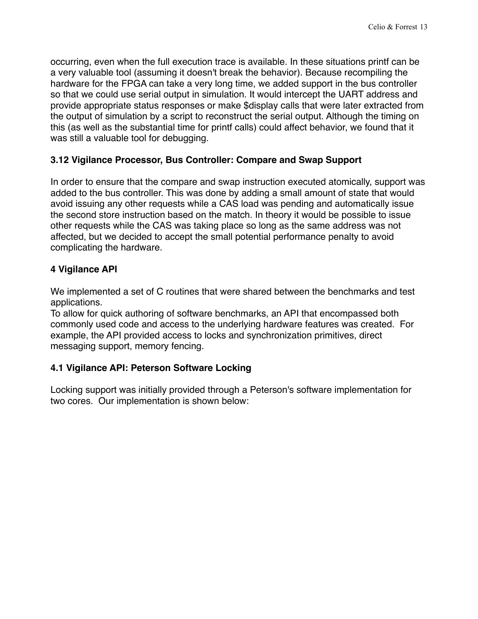occurring, even when the full execution trace is available. In these situations printf can be a very valuable tool (assuming it doesn't break the behavior). Because recompiling the hardware for the FPGA can take a very long time, we added support in the bus controller so that we could use serial output in simulation. It would intercept the UART address and provide appropriate status responses or make \$display calls that were later extracted from the output of simulation by a script to reconstruct the serial output. Although the timing on this (as well as the substantial time for printf calls) could affect behavior, we found that it was still a valuable tool for debugging.

# **3.12 Vigilance Processor, Bus Controller: Compare and Swap Support**

In order to ensure that the compare and swap instruction executed atomically, support was added to the bus controller. This was done by adding a small amount of state that would avoid issuing any other requests while a CAS load was pending and automatically issue the second store instruction based on the match. In theory it would be possible to issue other requests while the CAS was taking place so long as the same address was not affected, but we decided to accept the small potential performance penalty to avoid complicating the hardware.

# **4 Vigilance API**

We implemented a set of C routines that were shared between the benchmarks and test applications.

To allow for quick authoring of software benchmarks, an API that encompassed both commonly used code and access to the underlying hardware features was created. For example, the API provided access to locks and synchronization primitives, direct messaging support, memory fencing.

#### **4.1 Vigilance API: Peterson Software Locking**

Locking support was initially provided through a Peterson's software implementation for two cores. Our implementation is shown below: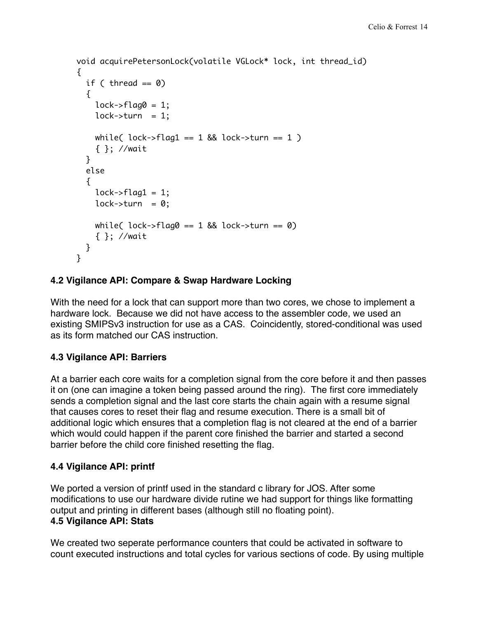```
void acquirePetersonLock(volatile VGLock* lock, int thread_id) 
\{if ( thread == 0)
   { 
    lock->flag0 = 1;
    lock->turn = 1;
    while( lock->flag1 == 1 && lock->turn == 1 )
     { }; //wait 
   } 
   else 
   { 
    lock->flag1 = 1;
    lock->turn = 0;
    while( lock->flag0 == 1 && lock->turn == 0)
     { }; //wait 
   } 
}
```
# **4.2 Vigilance API: Compare & Swap Hardware Locking**

With the need for a lock that can support more than two cores, we chose to implement a hardware lock. Because we did not have access to the assembler code, we used an existing SMIPSv3 instruction for use as a CAS. Coincidently, stored-conditional was used as its form matched our CAS instruction.

#### **4.3 Vigilance API: Barriers**

At a barrier each core waits for a completion signal from the core before it and then passes it on (one can imagine a token being passed around the ring). The first core immediately sends a completion signal and the last core starts the chain again with a resume signal that causes cores to reset their flag and resume execution. There is a small bit of additional logic which ensures that a completion flag is not cleared at the end of a barrier which would could happen if the parent core finished the barrier and started a second barrier before the child core finished resetting the flag.

#### **4.4 Vigilance API: printf**

We ported a version of printf used in the standard c library for JOS. After some modifications to use our hardware divide rutine we had support for things like formatting output and printing in different bases (although still no floating point). **4.5 Vigilance API: Stats** 

We created two seperate performance counters that could be activated in software to count executed instructions and total cycles for various sections of code. By using multiple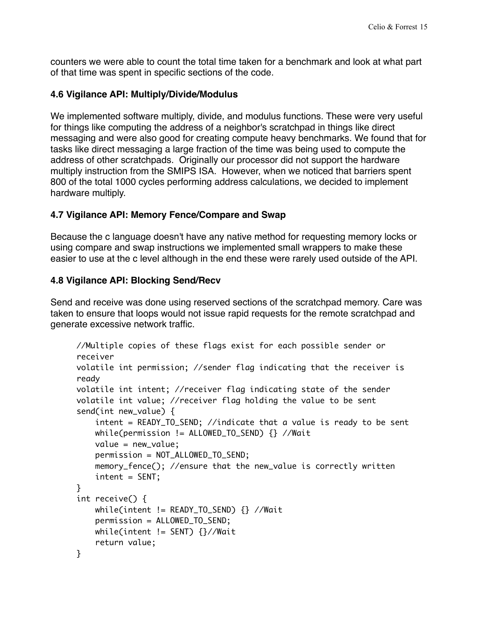counters we were able to count the total time taken for a benchmark and look at what part of that time was spent in specific sections of the code.

#### **4.6 Vigilance API: Multiply/Divide/Modulus**

We implemented software multiply, divide, and modulus functions. These were very useful for things like computing the address of a neighbor's scratchpad in things like direct messaging and were also good for creating compute heavy benchmarks. We found that for tasks like direct messaging a large fraction of the time was being used to compute the address of other scratchpads. Originally our processor did not support the hardware multiply instruction from the SMIPS ISA. However, when we noticed that barriers spent 800 of the total 1000 cycles performing address calculations, we decided to implement hardware multiply.

#### **4.7 Vigilance API: Memory Fence/Compare and Swap**

Because the c language doesn't have any native method for requesting memory locks or using compare and swap instructions we implemented small wrappers to make these easier to use at the c level although in the end these were rarely used outside of the API.

#### **4.8 Vigilance API: Blocking Send/Recv**

Send and receive was done using reserved sections of the scratchpad memory. Care was taken to ensure that loops would not issue rapid requests for the remote scratchpad and generate excessive network traffic.

```
//Multiple copies of these flags exist for each possible sender or 
receiver
volatile int permission; //sender flag indicating that the receiver is 
ready
volatile int intent; //receiver flag indicating state of the sender
volatile int value; //receiver flag holding the value to be sent
send(int new_value) {
        intent = READY_TO_SEND; //indicate that a value is ready to be sent
    while(permission != ALLOWED_TO_SEND) {} //Wait
        value = new_value;
        permission = NOT_ALLOWED_TO_SEND;
        memory_fence(); //ensure that the new_value is correctly written
        intent = SENT;
}
int receive() {
        while(intent != READY_TO_SEND) {} //Wait
        permission = ALLOWED_TO_SEND;
    while(intent != SENT) \frac{2}{7}/\sqrt{2}    return value;
}
```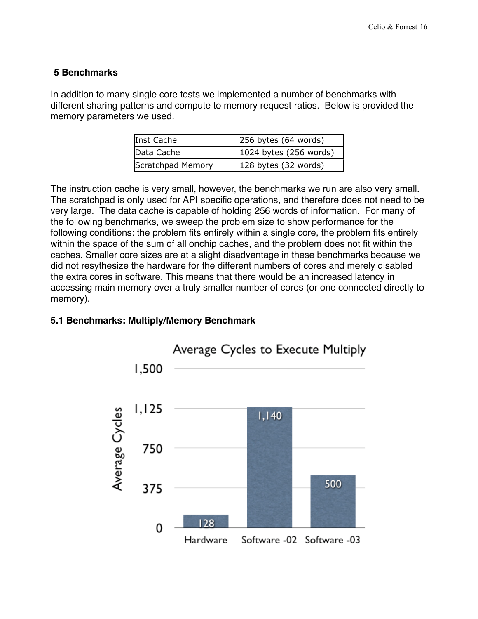#### **5 Benchmarks**

In addition to many single core tests we implemented a number of benchmarks with different sharing patterns and compute to memory request ratios. Below is provided the memory parameters we used.

| Inst Cache        | $256$ bytes (64 words)   |
|-------------------|--------------------------|
| Data Cache        | $1024$ bytes (256 words) |
| Scratchpad Memory | $128$ bytes (32 words)   |

The instruction cache is very small, however, the benchmarks we run are also very small. The scratchpad is only used for API specific operations, and therefore does not need to be very large. The data cache is capable of holding 256 words of information. For many of the following benchmarks, we sweep the problem size to show performance for the following conditions: the problem fits entirely within a single core, the problem fits entirely within the space of the sum of all onchip caches, and the problem does not fit within the caches. Smaller core sizes are at a slight disadventage in these benchmarks because we did not resythesize the hardware for the different numbers of cores and merely disabled the extra cores in software. This means that there would be an increased latency in accessing main memory over a truly smaller number of cores (or one connected directly to memory).

#### **5.1 Benchmarks: Multiply/Memory Benchmark**

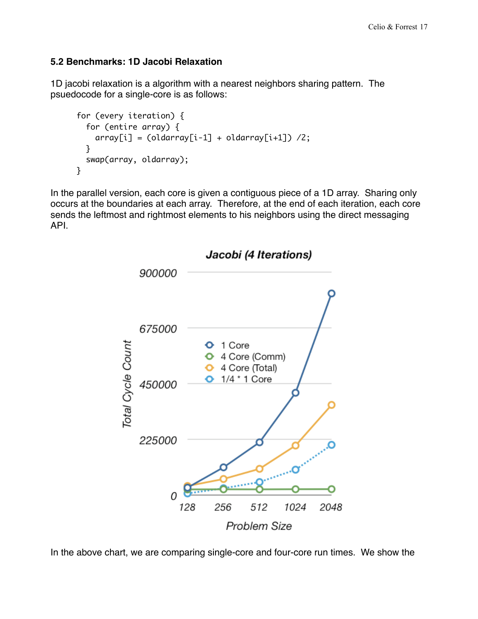#### **5.2 Benchmarks: 1D Jacobi Relaxation**

1D jacobi relaxation is a algorithm with a nearest neighbors sharing pattern. The psuedocode for a single-core is as follows:

```
for (every iteration) { 
  for (entire array) { 
    array[i] = (oldarray[i-1] + oldarray[i+1]) /2;
  } 
  swap(array, oldarray); 
}
```
In the parallel version, each core is given a contiguous piece of a 1D array. Sharing only occurs at the boundaries at each array. Therefore, at the end of each iteration, each core sends the leftmost and rightmost elements to his neighbors using the direct messaging API.



In the above chart, we are comparing single-core and four-core run times. We show the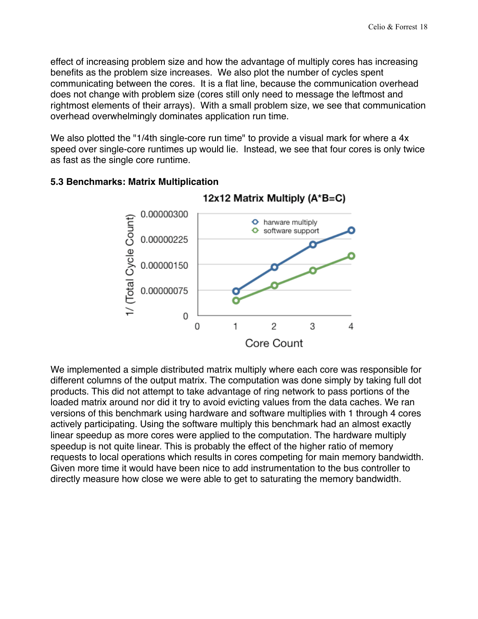effect of increasing problem size and how the advantage of multiply cores has increasing benefits as the problem size increases. We also plot the number of cycles spent communicating between the cores. It is a flat line, because the communication overhead does not change with problem size (cores still only need to message the leftmost and rightmost elements of their arrays). With a small problem size, we see that communication overhead overwhelmingly dominates application run time.

We also plotted the "1/4th single-core run time" to provide a visual mark for where a 4x speed over single-core runtimes up would lie. Instead, we see that four cores is only twice as fast as the single core runtime.



#### **5.3 Benchmarks: Matrix Multiplication**

We implemented a simple distributed matrix multiply where each core was responsible for different columns of the output matrix. The computation was done simply by taking full dot products. This did not attempt to take advantage of ring network to pass portions of the loaded matrix around nor did it try to avoid evicting values from the data caches. We ran versions of this benchmark using hardware and software multiplies with 1 through 4 cores actively participating. Using the software multiply this benchmark had an almost exactly linear speedup as more cores were applied to the computation. The hardware multiply speedup is not quite linear. This is probably the effect of the higher ratio of memory requests to local operations which results in cores competing for main memory bandwidth. Given more time it would have been nice to add instrumentation to the bus controller to directly measure how close we were able to get to saturating the memory bandwidth.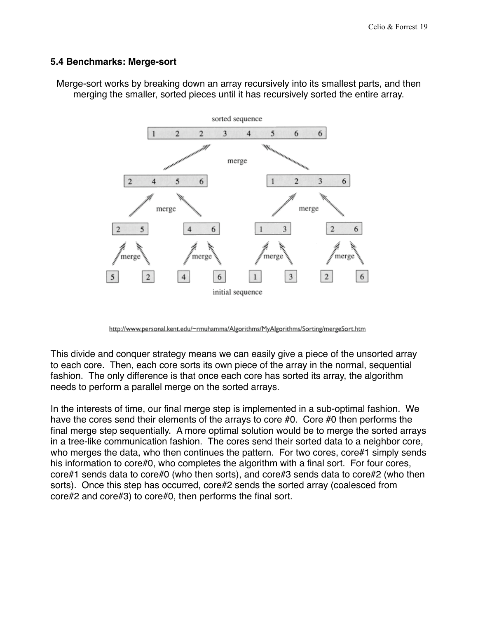#### **5.4 Benchmarks: Merge-sort**

Merge-sort works by breaking down an array recursively into its smallest parts, and then merging the smaller, sorted pieces until it has recursively sorted the entire array.



http://www.personal.kent.edu/~rmuhamma/Algorithms/MyAlgorithms/Sorting/mergeSort.htm

This divide and conquer strategy means we can easily give a piece of the unsorted array to each core. Then, each core sorts its own piece of the array in the normal, sequential fashion. The only difference is that once each core has sorted its array, the algorithm needs to perform a parallel merge on the sorted arrays.

In the interests of time, our final merge step is implemented in a sub-optimal fashion. We have the cores send their elements of the arrays to core #0. Core #0 then performs the final merge step sequentially. A more optimal solution would be to merge the sorted arrays in a tree-like communication fashion. The cores send their sorted data to a neighbor core, who merges the data, who then continues the pattern. For two cores, core#1 simply sends his information to core#0, who completes the algorithm with a final sort. For four cores, core#1 sends data to core#0 (who then sorts), and core#3 sends data to core#2 (who then sorts). Once this step has occurred, core#2 sends the sorted array (coalesced from core#2 and core#3) to core#0, then performs the final sort.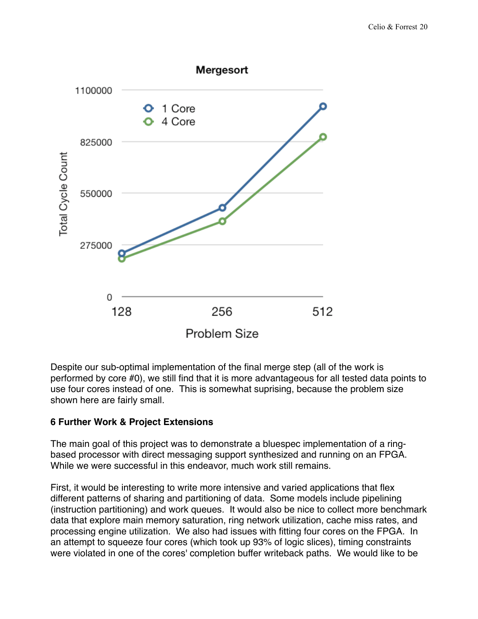

Despite our sub-optimal implementation of the final merge step (all of the work is performed by core #0), we still find that it is more advantageous for all tested data points to use four cores instead of one. This is somewhat suprising, because the problem size shown here are fairly small.

#### **6 Further Work & Project Extensions**

The main goal of this project was to demonstrate a bluespec implementation of a ringbased processor with direct messaging support synthesized and running on an FPGA. While we were successful in this endeavor, much work still remains.

First, it would be interesting to write more intensive and varied applications that flex different patterns of sharing and partitioning of data. Some models include pipelining (instruction partitioning) and work queues. It would also be nice to collect more benchmark data that explore main memory saturation, ring network utilization, cache miss rates, and processing engine utilization. We also had issues with fitting four cores on the FPGA. In an attempt to squeeze four cores (which took up 93% of logic slices), timing constraints were violated in one of the cores' completion buffer writeback paths. We would like to be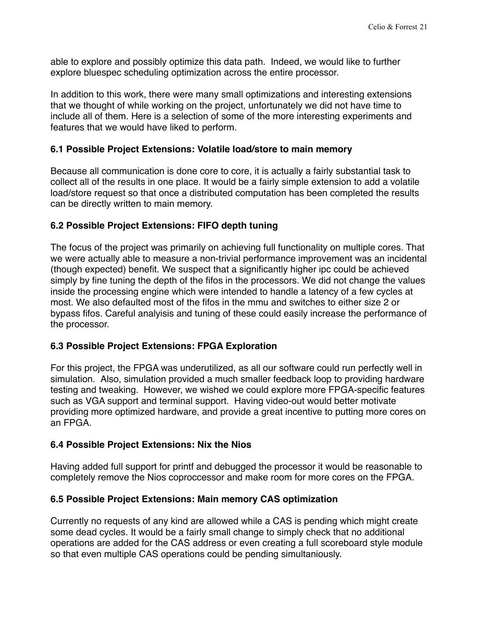able to explore and possibly optimize this data path. Indeed, we would like to further explore bluespec scheduling optimization across the entire processor.

In addition to this work, there were many small optimizations and interesting extensions that we thought of while working on the project, unfortunately we did not have time to include all of them. Here is a selection of some of the more interesting experiments and features that we would have liked to perform.

#### **6.1 Possible Project Extensions: Volatile load/store to main memory**

Because all communication is done core to core, it is actually a fairly substantial task to collect all of the results in one place. It would be a fairly simple extension to add a volatile load/store request so that once a distributed computation has been completed the results can be directly written to main memory.

#### **6.2 Possible Project Extensions: FIFO depth tuning**

The focus of the project was primarily on achieving full functionality on multiple cores. That we were actually able to measure a non-trivial performance improvement was an incidental (though expected) benefit. We suspect that a significantly higher ipc could be achieved simply by fine tuning the depth of the fifos in the processors. We did not change the values inside the processing engine which were intended to handle a latency of a few cycles at most. We also defaulted most of the fifos in the mmu and switches to either size 2 or bypass fifos. Careful analyisis and tuning of these could easily increase the performance of the processor.

#### **6.3 Possible Project Extensions: FPGA Exploration**

For this project, the FPGA was underutilized, as all our software could run perfectly well in simulation. Also, simulation provided a much smaller feedback loop to providing hardware testing and tweaking. However, we wished we could explore more FPGA-specific features such as VGA support and terminal support. Having video-out would better motivate providing more optimized hardware, and provide a great incentive to putting more cores on an FPGA.

#### **6.4 Possible Project Extensions: Nix the Nios**

Having added full support for printf and debugged the processor it would be reasonable to completely remove the Nios coproccessor and make room for more cores on the FPGA.

#### **6.5 Possible Project Extensions: Main memory CAS optimization**

Currently no requests of any kind are allowed while a CAS is pending which might create some dead cycles. It would be a fairly small change to simply check that no additional operations are added for the CAS address or even creating a full scoreboard style module so that even multiple CAS operations could be pending simultaniously.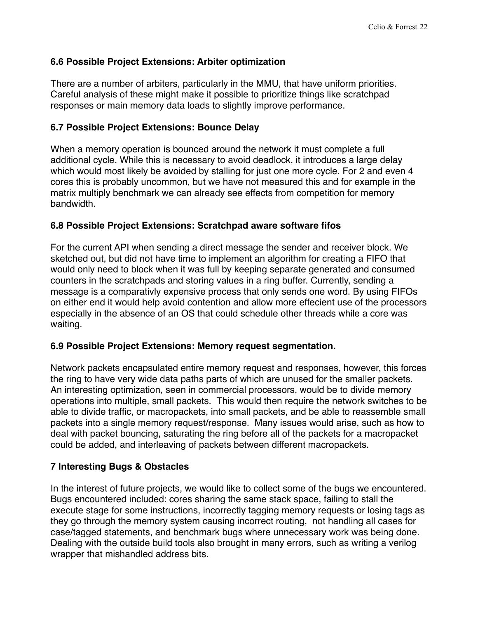#### **6.6 Possible Project Extensions: Arbiter optimization**

There are a number of arbiters, particularly in the MMU, that have uniform priorities. Careful analysis of these might make it possible to prioritize things like scratchpad responses or main memory data loads to slightly improve performance.

#### **6.7 Possible Project Extensions: Bounce Delay**

When a memory operation is bounced around the network it must complete a full additional cycle. While this is necessary to avoid deadlock, it introduces a large delay which would most likely be avoided by stalling for just one more cycle. For 2 and even 4 cores this is probably uncommon, but we have not measured this and for example in the matrix multiply benchmark we can already see effects from competition for memory bandwidth.

# **6.8 Possible Project Extensions: Scratchpad aware software fifos**

For the current API when sending a direct message the sender and receiver block. We sketched out, but did not have time to implement an algorithm for creating a FIFO that would only need to block when it was full by keeping separate generated and consumed counters in the scratchpads and storing values in a ring buffer. Currently, sending a message is a comparativly expensive process that only sends one word. By using FIFOs on either end it would help avoid contention and allow more effecient use of the processors especially in the absence of an OS that could schedule other threads while a core was waiting.

#### **6.9 Possible Project Extensions: Memory request segmentation.**

Network packets encapsulated entire memory request and responses, however, this forces the ring to have very wide data paths parts of which are unused for the smaller packets. An interesting optimization, seen in commercial processors, would be to divide memory operations into multiple, small packets. This would then require the network switches to be able to divide traffic, or macropackets, into small packets, and be able to reassemble small packets into a single memory request/response. Many issues would arise, such as how to deal with packet bouncing, saturating the ring before all of the packets for a macropacket could be added, and interleaving of packets between different macropackets.

# **7 Interesting Bugs & Obstacles**

In the interest of future projects, we would like to collect some of the bugs we encountered. Bugs encountered included: cores sharing the same stack space, failing to stall the execute stage for some instructions, incorrectly tagging memory requests or losing tags as they go through the memory system causing incorrect routing, not handling all cases for case/tagged statements, and benchmark bugs where unnecessary work was being done. Dealing with the outside build tools also brought in many errors, such as writing a verilog wrapper that mishandled address bits.